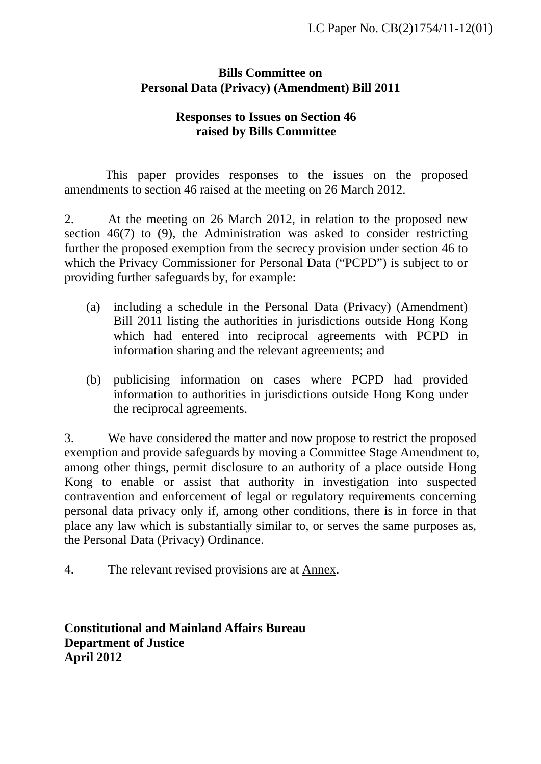## **Bills Committee on Personal Data (Privacy) (Amendment) Bill 2011**

## **Responses to Issues on Section 46 raised by Bills Committee**

This paper provides responses to the issues on the proposed amendments to section 46 raised at the meeting on 26 March 2012.

2. At the meeting on 26 March 2012, in relation to the proposed new section 46(7) to (9), the Administration was asked to consider restricting further the proposed exemption from the secrecy provision under section 46 to which the Privacy Commissioner for Personal Data ("PCPD") is subject to or providing further safeguards by, for example:

- (a) including a schedule in the Personal Data (Privacy) (Amendment) Bill 2011 listing the authorities in jurisdictions outside Hong Kong which had entered into reciprocal agreements with PCPD in information sharing and the relevant agreements; and
- (b) publicising information on cases where PCPD had provided information to authorities in jurisdictions outside Hong Kong under the reciprocal agreements.

3. We have considered the matter and now propose to restrict the proposed exemption and provide safeguards by moving a Committee Stage Amendment to, among other things, permit disclosure to an authority of a place outside Hong Kong to enable or assist that authority in investigation into suspected contravention and enforcement of legal or regulatory requirements concerning personal data privacy only if, among other conditions, there is in force in that place any law which is substantially similar to, or serves the same purposes as, the Personal Data (Privacy) Ordinance.

4. The relevant revised provisions are at Annex.

**Constitutional and Mainland Affairs Bureau Department of Justice April 2012**